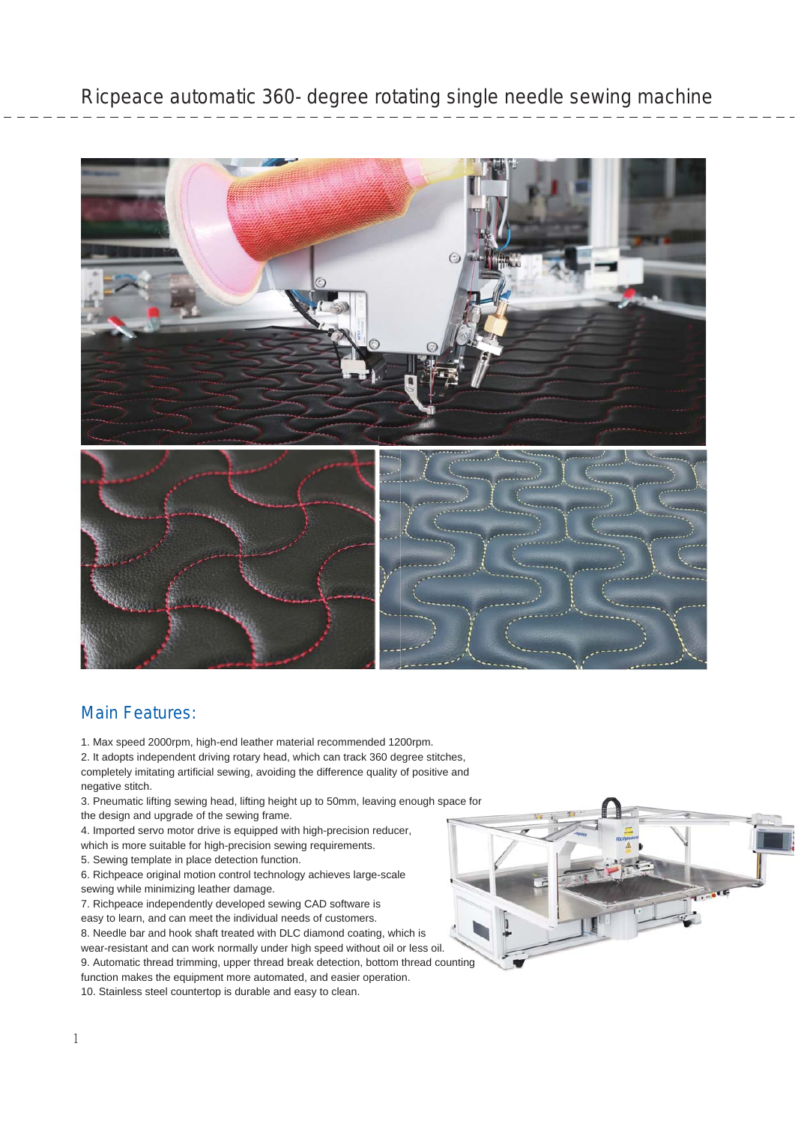

## Main Features:

1. Max speed 2000rpm, high-end leather material recommended 1200rpm.

2. It adopts independent driving rotary head, which can track 360 degree stitches, completely imitating artificial sewing, avoiding the difference quality of positive and negative stitch. 1. Max speed 2000rpm, high-end leather material recommended 1200rpm.<br>2. It adopts independent driving rotary head, which can track 360 degree stitches,<br>completely imitating artificial sewing, avoiding the difference qualit

the design and upgrade of the sewing frame.

4. Imported servo motor drive is equipped with high-precision reducer,

which is more suitable for high-precision sewing requirements.

5. Sewing template in place detection function.

6. Richpeace original motion control technology achieves large-scale sewing while minimizing leather damage.

7. Richpeace independently developed sewing CAD software is easy to learn, and can meet the individual needs of customers. 8. Needle bar and hook shaft treated with DLC diamond coating, which is wear-resistant and can work normally under high speed without oil or less oil. wear-resistant and can work normally under high speed without oil or less oil.<br>9. Automatic thread trimming, upper thread break detection, bottom thread counting function makes the equipment more automated, and easier operation.

10. Stainless steel countertop is durable and easy to clean.